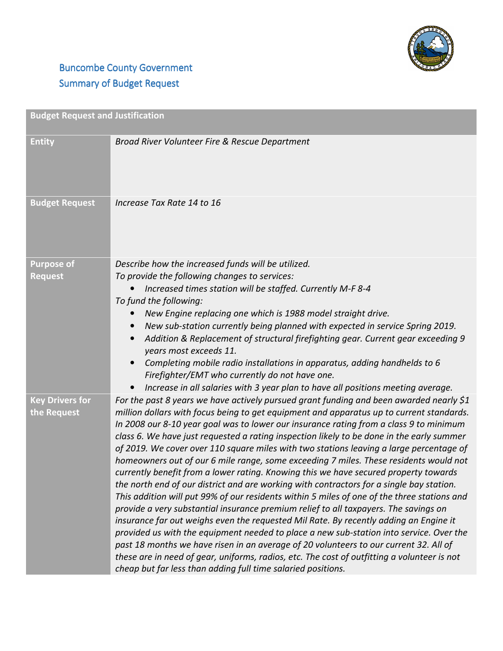

## **Buncombe County Government** Summary of Budget Request

| <b>Budget Request and Justification</b> |                                                                                                                                                                                                                                                                                                                                                                                                                                                                                                                                                                                                                                                                                                                                                                                                                                                                                                                                                                                                                                                                                                                                                                                                                                                                                                                                                                                       |
|-----------------------------------------|---------------------------------------------------------------------------------------------------------------------------------------------------------------------------------------------------------------------------------------------------------------------------------------------------------------------------------------------------------------------------------------------------------------------------------------------------------------------------------------------------------------------------------------------------------------------------------------------------------------------------------------------------------------------------------------------------------------------------------------------------------------------------------------------------------------------------------------------------------------------------------------------------------------------------------------------------------------------------------------------------------------------------------------------------------------------------------------------------------------------------------------------------------------------------------------------------------------------------------------------------------------------------------------------------------------------------------------------------------------------------------------|
| <b>Entity</b>                           | Broad River Volunteer Fire & Rescue Department                                                                                                                                                                                                                                                                                                                                                                                                                                                                                                                                                                                                                                                                                                                                                                                                                                                                                                                                                                                                                                                                                                                                                                                                                                                                                                                                        |
| <b>Budget Request</b>                   | Increase Tax Rate 14 to 16                                                                                                                                                                                                                                                                                                                                                                                                                                                                                                                                                                                                                                                                                                                                                                                                                                                                                                                                                                                                                                                                                                                                                                                                                                                                                                                                                            |
| <b>Purpose of</b><br><b>Request</b>     | Describe how the increased funds will be utilized.<br>To provide the following changes to services:<br>Increased times station will be staffed. Currently M-F 8-4<br>To fund the following:<br>New Engine replacing one which is 1988 model straight drive.<br>New sub-station currently being planned with expected in service Spring 2019.<br>$\bullet$<br>Addition & Replacement of structural firefighting gear. Current gear exceeding 9<br>years most exceeds 11.<br>Completing mobile radio installations in apparatus, adding handhelds to 6<br>Firefighter/EMT who currently do not have one.<br>Increase in all salaries with 3 year plan to have all positions meeting average.                                                                                                                                                                                                                                                                                                                                                                                                                                                                                                                                                                                                                                                                                            |
| <b>Key Drivers for</b><br>the Request   | For the past 8 years we have actively pursued grant funding and been awarded nearly \$1<br>million dollars with focus being to get equipment and apparatus up to current standards.<br>In 2008 our 8-10 year goal was to lower our insurance rating from a class 9 to minimum<br>class 6. We have just requested a rating inspection likely to be done in the early summer<br>of 2019. We cover over 110 square miles with two stations leaving a large percentage of<br>homeowners out of our 6 mile range, some exceeding 7 miles. These residents would not<br>currently benefit from a lower rating. Knowing this we have secured property towards<br>the north end of our district and are working with contractors for a single bay station.<br>This addition will put 99% of our residents within 5 miles of one of the three stations and<br>provide a very substantial insurance premium relief to all taxpayers. The savings on<br>insurance far out weighs even the requested Mil Rate. By recently adding an Engine it<br>provided us with the equipment needed to place a new sub-station into service. Over the<br>past 18 months we have risen in an average of 20 volunteers to our current 32. All of<br>these are in need of gear, uniforms, radios, etc. The cost of outfitting a volunteer is not<br>cheap but far less than adding full time salaried positions. |